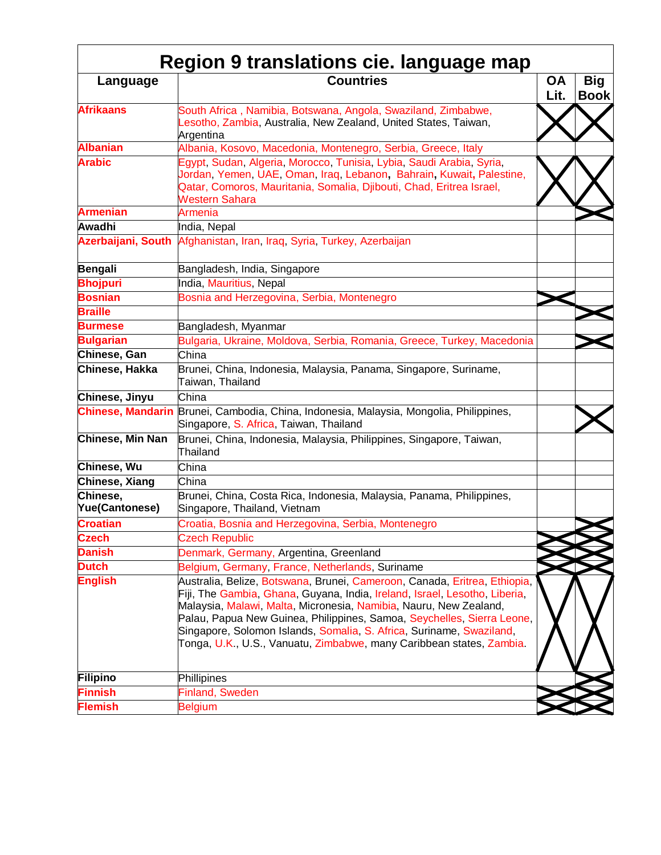| Language                          | <b>Countries</b>                                                                                                                                                                                                                                                                                                                                                                                                                                       | <b>OA</b><br>Lit. | Big<br><b>Book</b> |
|-----------------------------------|--------------------------------------------------------------------------------------------------------------------------------------------------------------------------------------------------------------------------------------------------------------------------------------------------------------------------------------------------------------------------------------------------------------------------------------------------------|-------------------|--------------------|
| <b>Afrikaans</b>                  | South Africa, Namibia, Botswana, Angola, Swaziland, Zimbabwe,<br>Lesotho, Zambia, Australia, New Zealand, United States, Taiwan,<br>Argentina                                                                                                                                                                                                                                                                                                          |                   |                    |
| <b>Albanian</b>                   | Albania, Kosovo, Macedonia, Montenegro, Serbia, Greece, Italy                                                                                                                                                                                                                                                                                                                                                                                          |                   |                    |
| <b>Arabic</b>                     | Egypt, Sudan, Algeria, Morocco, Tunisia, Lybia, Saudi Arabia, Syria,<br>Jordan, Yemen, UAE, Oman, Iraq, Lebanon, Bahrain, Kuwait, Palestine,<br>Qatar, Comoros, Mauritania, Somalia, Djibouti, Chad, Eritrea Israel,<br><b>Western Sahara</b>                                                                                                                                                                                                          |                   |                    |
| <b>Armenian</b>                   | Armenia                                                                                                                                                                                                                                                                                                                                                                                                                                                |                   |                    |
| Awadhi                            | India, Nepal                                                                                                                                                                                                                                                                                                                                                                                                                                           |                   |                    |
|                                   | Azerbaijani, South Afghanistan, Iran, Iraq, Syria, Turkey, Azerbaijan                                                                                                                                                                                                                                                                                                                                                                                  |                   |                    |
| <b>Bengali</b>                    | Bangladesh, India, Singapore                                                                                                                                                                                                                                                                                                                                                                                                                           |                   |                    |
| <b>Bhojpuri</b>                   | India, Mauritius, Nepal                                                                                                                                                                                                                                                                                                                                                                                                                                |                   |                    |
| <b>Bosnian</b>                    | Bosnia and Herzegovina, Serbia, Montenegro                                                                                                                                                                                                                                                                                                                                                                                                             |                   |                    |
| <b>Braille</b>                    |                                                                                                                                                                                                                                                                                                                                                                                                                                                        |                   |                    |
| <b>Burmese</b>                    | Bangladesh, Myanmar                                                                                                                                                                                                                                                                                                                                                                                                                                    |                   |                    |
| <b>Bulgarian</b>                  | Bulgaria, Ukraine, Moldova, Serbia, Romania, Greece, Turkey, Macedonia                                                                                                                                                                                                                                                                                                                                                                                 |                   |                    |
| Chinese, Gan                      | China                                                                                                                                                                                                                                                                                                                                                                                                                                                  |                   |                    |
| Chinese, Hakka                    | Brunei, China, Indonesia, Malaysia, Panama, Singapore, Suriname,<br>Taiwan, Thailand                                                                                                                                                                                                                                                                                                                                                                   |                   |                    |
| Chinese, Jinyu                    | China                                                                                                                                                                                                                                                                                                                                                                                                                                                  |                   |                    |
|                                   | Chinese, Mandarin Brunei, Cambodia, China, Indonesia, Malaysia, Mongolia, Philippines,<br>Singapore, S. Africa, Taiwan, Thailand                                                                                                                                                                                                                                                                                                                       |                   |                    |
| Chinese, Min Nan                  | Brunei, China, Indonesia, Malaysia, Philippines, Singapore, Taiwan,<br>Thailand                                                                                                                                                                                                                                                                                                                                                                        |                   |                    |
| Chinese, Wu                       | China                                                                                                                                                                                                                                                                                                                                                                                                                                                  |                   |                    |
| Chinese, Xiang                    | China                                                                                                                                                                                                                                                                                                                                                                                                                                                  |                   |                    |
| Chinese,<br><b>Yue(Cantonese)</b> | Brunei, China, Costa Rica, Indonesia, Malaysia, Panama, Philippines,<br>Singapore, Thailand, Vietnam                                                                                                                                                                                                                                                                                                                                                   |                   |                    |
| <b>Croatian</b>                   | Croatia, Bosnia and Herzegovina, Serbia, Montenegro                                                                                                                                                                                                                                                                                                                                                                                                    |                   |                    |
| <b>Czech</b>                      | <b>Czech Republic</b>                                                                                                                                                                                                                                                                                                                                                                                                                                  |                   |                    |
| <b>Danish</b>                     | Denmark, Germany, Argentina, Greenland                                                                                                                                                                                                                                                                                                                                                                                                                 |                   |                    |
| <b>Dutch</b>                      | Belgium, Germany, France, Netherlands, Suriname                                                                                                                                                                                                                                                                                                                                                                                                        |                   |                    |
| <b>English</b>                    | Australia, Belize, Botswana, Brunei, Cameroon, Canada, Eritrea, Ethiopia,<br>Fiji, The Gambia, Ghana, Guyana, India, Ireland, Israel, Lesotho, Liberia,<br>Malaysia, Malawi, Malta, Micronesia, Namibia, Nauru, New Zealand,<br>Palau, Papua New Guinea, Philippines, Samoa, Seychelles, Sierra Leone,<br>Singapore, Solomon Islands, Somalia, S. Africa, Suriname, Swaziland,<br>Tonga, U.K., U.S., Vanuatu, Zimbabwe, many Caribbean states, Zambia. |                   |                    |
| Filipino                          | Phillipines                                                                                                                                                                                                                                                                                                                                                                                                                                            |                   |                    |
| <b>Finnish</b>                    | Finland, Sweden                                                                                                                                                                                                                                                                                                                                                                                                                                        |                   |                    |
| <b>Flemish</b>                    | <b>Belgium</b>                                                                                                                                                                                                                                                                                                                                                                                                                                         |                   |                    |
|                                   |                                                                                                                                                                                                                                                                                                                                                                                                                                                        |                   |                    |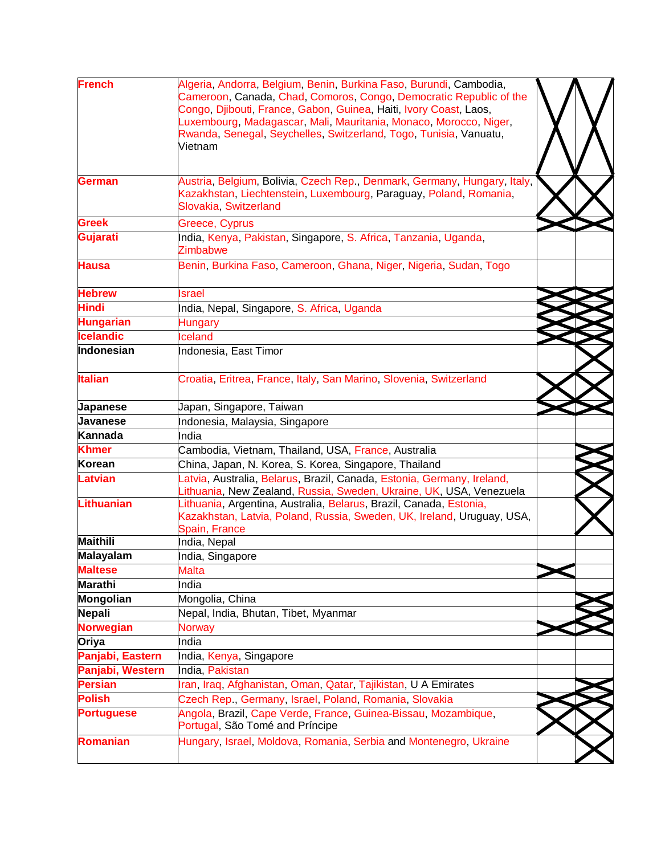| <b>French</b>     | Algeria, Andorra, Belgium, Benin, Burkina Faso, Burundi, Cambodia,<br>Cameroon, Canada, Chad, Comoros, Congo, Democratic Republic of the<br>Congo, Djibouti, France, Gabon, Guinea, Haiti, Ivory Coast, Laos,<br>Luxembourg, Madagascar, Mali, Mauritania, Monaco, Morocco, Niger,<br>Rwanda, Senegal, Seychelles, Switzerland, Togo, Tunisia, Vanuatu,<br>Vietnam |  |
|-------------------|--------------------------------------------------------------------------------------------------------------------------------------------------------------------------------------------------------------------------------------------------------------------------------------------------------------------------------------------------------------------|--|
| <b>German</b>     | Austria, Belgium, Bolivia, Czech Rep., Denmark, Germany, Hungary, Italy,<br>Kazakhstan, Liechtenstein, Luxembourg, Paraguay, Poland, Romania,<br>Slovakia, Switzerland                                                                                                                                                                                             |  |
| <b>Greek</b>      | Greece, Cyprus                                                                                                                                                                                                                                                                                                                                                     |  |
| Gujarati          | India, Kenya, Pakistan, Singapore, S. Africa, Tanzania, Uganda,<br>Zimbabwe                                                                                                                                                                                                                                                                                        |  |
| <b>Hausa</b>      | Benin, Burkina Faso, Cameroon, Ghana, Niger, Nigeria, Sudan, Togo                                                                                                                                                                                                                                                                                                  |  |
| <b>Hebrew</b>     | <b>Israel</b>                                                                                                                                                                                                                                                                                                                                                      |  |
| <b>Hindi</b>      | India, Nepal, Singapore, S. Africa, Uganda                                                                                                                                                                                                                                                                                                                         |  |
| <b>Hungarian</b>  | Hungary                                                                                                                                                                                                                                                                                                                                                            |  |
| <b>Icelandic</b>  | <b>Iceland</b>                                                                                                                                                                                                                                                                                                                                                     |  |
| <b>Indonesian</b> | Indonesia, East Timor                                                                                                                                                                                                                                                                                                                                              |  |
| <b>Italian</b>    | Croatia, Eritrea, France, Italy, San Marino, Slovenia, Switzerland                                                                                                                                                                                                                                                                                                 |  |
| <b>Japanese</b>   | Japan, Singapore, Taiwan                                                                                                                                                                                                                                                                                                                                           |  |
| <b>Javanese</b>   | Indonesia, Malaysia, Singapore                                                                                                                                                                                                                                                                                                                                     |  |
| Kannada           | India                                                                                                                                                                                                                                                                                                                                                              |  |
| <b>Khmer</b>      | Cambodia, Vietnam, Thailand, USA, France, Australia                                                                                                                                                                                                                                                                                                                |  |
| <b>Korean</b>     | China, Japan, N. Korea, S. Korea, Singapore, Thailand                                                                                                                                                                                                                                                                                                              |  |
| <b>Latvian</b>    | Latvia, Australia, Belarus, Brazil, Canada, Estonia, Germany, Ireland,<br>Lithuania, New Zealand, Russia, Sweden, Ukraine, UK, USA, Venezuela                                                                                                                                                                                                                      |  |
| <b>Lithuanian</b> | Lithuania, Argentina, Australia, Belarus, Brazil, Canada, Estonia,<br>Kazakhstan, Latvia, Poland, Russia, Sweden, UK, Ireland, Uruguay, USA,<br>Spain, France                                                                                                                                                                                                      |  |
| <b>Maithili</b>   | India, Nepal                                                                                                                                                                                                                                                                                                                                                       |  |
| <b>Malayalam</b>  | India, Singapore                                                                                                                                                                                                                                                                                                                                                   |  |
| <b>Maltese</b>    | Malta                                                                                                                                                                                                                                                                                                                                                              |  |
| <b>Marathi</b>    | India                                                                                                                                                                                                                                                                                                                                                              |  |
| Mongolian         | Mongolia, China                                                                                                                                                                                                                                                                                                                                                    |  |
| Nepali            | Nepal, India, Bhutan, Tibet, Myanmar                                                                                                                                                                                                                                                                                                                               |  |
| <b>Norwegian</b>  | Norway                                                                                                                                                                                                                                                                                                                                                             |  |
| Oriya             | India                                                                                                                                                                                                                                                                                                                                                              |  |
| Panjabi, Eastern  | India, Kenya, Singapore                                                                                                                                                                                                                                                                                                                                            |  |
| Panjabi, Western  | India, Pakistan                                                                                                                                                                                                                                                                                                                                                    |  |
| <b>Persian</b>    | Iran, Iraq, Afghanistan, Oman, Qatar, Tajikistan, U A Emirates                                                                                                                                                                                                                                                                                                     |  |
| <b>Polish</b>     | Czech Rep., Germany, Israel, Poland, Romania, Slovakia                                                                                                                                                                                                                                                                                                             |  |
| <b>Portuguese</b> | Angola, Brazil, Cape Verde, France, Guinea-Bissau, Mozambique,<br>Portugal, São Tomé and Príncipe                                                                                                                                                                                                                                                                  |  |
| Romanian          | Hungary, Israel, Moldova, Romania, Serbia and Montenegro, Ukraine                                                                                                                                                                                                                                                                                                  |  |